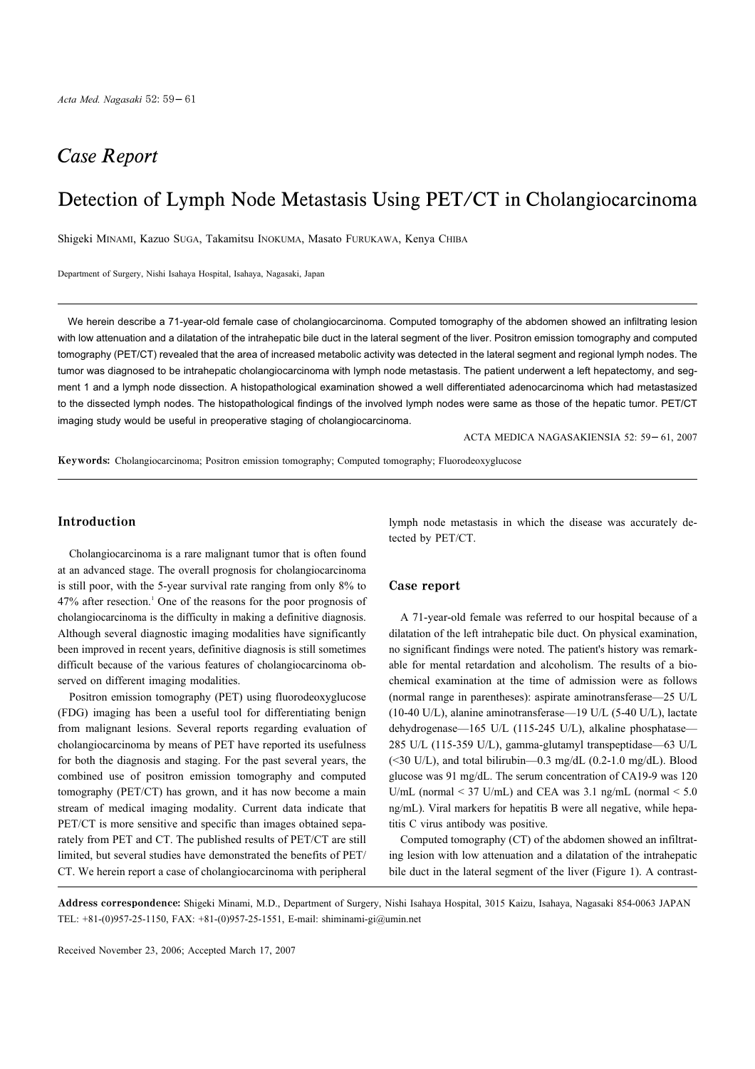## **Case Report**

# Detection of Lymph Node Metastasis Using PET/CT in Cholangiocarcinoma

Shigeki MINAMI, Kazuo SUGA, Takamitsu INOKUMA, Masato FURUKAWA, Kenya CHIBA

Department of Surgery, Nishi Isahaya Hospital, Isahaya, Nagasaki, Japan

We herein describe a 71-year-old female case of cholangiocarcinoma. Computed tomography of the abdomen showed an infiltrating lesion with low attenuation and a dilatation of the intrahepatic bile duct in the lateral segment of the liver. Positron emission tomography and computed tomography (PET/CT) revealed that the area of increased metabolic activity was detected in the lateral segment and regional lymph nodes. The tumor was diagnosed to be intrahepatic cholangiocarcinoma with lymph node metastasis. The patient underwent a left hepatectomy, and segment 1 and a lymph node dissection. A histopathological examination showed a well differentiated adenocarcinoma which had metastasized to the dissected lymph nodes. The histopathological findings of the involved lymph nodes were same as those of the hepatic tumor. PET/CT imaging study would be useful in preoperative staging of cholangiocarcinoma.

ACTA MEDICA NAGASAKIENSIA 52: 59 61, 2007

Keywords: Cholangiocarcinoma; Positron emission tomography; Computed tomography; Fluorodeoxyglucose

### Introduction

Cholangiocarcinoma is a rare malignant tumor that is often found at an advanced stage. The overall prognosis for cholangiocarcinoma is still poor, with the 5-year survival rate ranging from only 8% to  $47\%$  after resection.<sup>1</sup> One of the reasons for the poor prognosis of cholangiocarcinoma is the difficulty in making a definitive diagnosis. Although several diagnostic imaging modalities have significantly been improved in recent years, definitive diagnosis is still sometimes difficult because of the various features of cholangiocarcinoma observed on different imaging modalities.

Positron emission tomography (PET) using fluorodeoxyglucose (FDG) imaging has been a useful tool for differentiating benign from malignant lesions. Several reports regarding evaluation of cholangiocarcinoma by means of PET have reported its usefulness for both the diagnosis and staging. For the past several years, the combined use of positron emission tomography and computed tomography (PET/CT) has grown, and it has now become a main stream of medical imaging modality. Current data indicate that PET/CT is more sensitive and specific than images obtained separately from PET and CT. The published results of PET/CT are still limited, but several studies have demonstrated the benefits of PET/ CT. We herein report a case of cholangiocarcinoma with peripheral lymph node metastasis in which the disease was accurately detected by PET/CT.

#### Case report

A 71-year-old female was referred to our hospital because of a dilatation of the left intrahepatic bile duct. On physical examination, no significant findings were noted. The patient's history was remarkable for mental retardation and alcoholism. The results of a biochemical examination at the time of admission were as follows (normal range in parentheses): aspirate aminotransferase-25 U/L (10-40 U/L), alanine aminotransferase-19 U/L (5-40 U/L), lactate dehydrogenase-165 U/L (115-245 U/L), alkaline phosphatase-285 U/L (115-359 U/L), gamma-glutamyl transpeptidase-63 U/L  $(\leq 30 \text{ U/L})$ , and total bilirubin—0.3 mg/dL  $(0.2-1.0 \text{ mg/dL})$ . Blood glucose was 91 mg/dL. The serum concentration of CA19-9 was 120 U/mL (normal < 37 U/mL) and CEA was 3.1 ng/mL (normal  $\le$  5.0 ng/mL). Viral markers for hepatitis B were all negative, while hepatitis C virus antibody was positive.

Computed tomography (CT) of the abdomen showed an infiltrating lesion with low attenuation and a dilatation of the intrahepatic bile duct in the lateral segment of the liver (Figure 1). A contrast-

Address correspondence: Shigeki Minami, M.D., Department of Surgery, Nishi Isahaya Hospital, 3015 Kaizu, Isahaya, Nagasaki 854-0063 JAPAN TEL: +81-(0)957-25-1150, FAX: +81-(0)957-25-1551, E-mail: shiminami-gi@umin.net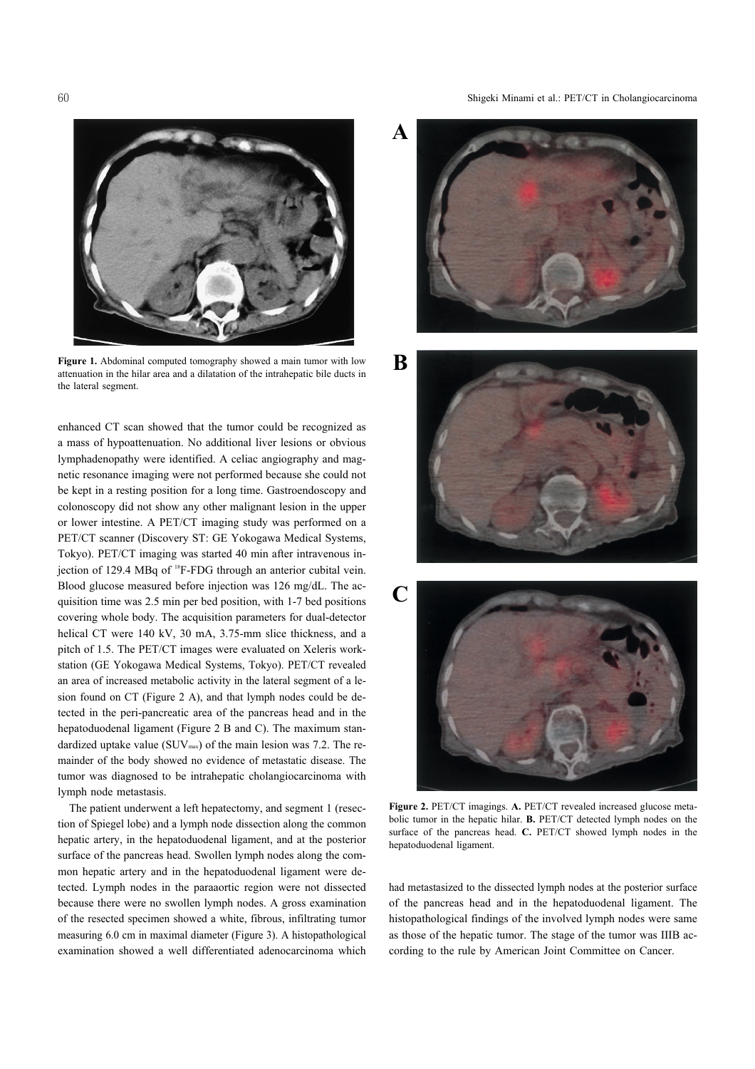Shigeki Minami et al.: PET/CT in Cholangiocarcinoma



Figure 1. Abdominal computed tomography showed a main tumor with low attenuation in the hilar area and a dilatation of the intrahepatic bile ducts in the lateral segment.

enhanced CT scan showed that the tumor could be recognized as a mass of hypoattenuation. No additional liver lesions or obvious lymphadenopathy were identified. A celiac angiography and magnetic resonance imaging were not performed because she could not be kept in a resting position for a long time. Gastroendoscopy and colonoscopy did not show any other malignant lesion in the upper or lower intestine. A PET/CT imaging study was performed on a PET/CT scanner (Discovery ST: GE Yokogawa Medical Systems, Tokyo). PET/CT imaging was started 40 min after intravenous injection of 129.4 MBq of <sup>18</sup>F-FDG through an anterior cubital vein. Blood glucose measured before injection was 126 mg/dL. The acquisition time was 2.5 min per bed position, with 1-7 bed positions covering whole body. The acquisition parameters for dual-detector helical CT were 140 kV, 30 mA, 3.75-mm slice thickness, and a pitch of 1.5. The PET/CT images were evaluated on Xeleris workstation (GE Yokogawa Medical Systems, Tokyo). PET/CT revealed an area of increased metabolic activity in the lateral segment of a lesion found on CT (Figure 2 A), and that lymph nodes could be detected in the peri-pancreatic area of the pancreas head and in the hepatoduodenal ligament (Figure 2 B and C). The maximum standardized uptake value ( $\text{SUV}_{\text{max}}$ ) of the main lesion was 7.2. The remainder of the body showed no evidence of metastatic disease. The tumor was diagnosed to be intrahepatic cholangiocarcinoma with lymph node metastasis.

The patient underwent a left hepatectomy, and segment 1 (resection of Spiegel lobe) and a lymph node dissection along the common hepatic artery, in the hepatoduodenal ligament, and at the posterior surface of the pancreas head. Swollen lymph nodes along the common hepatic artery and in the hepatoduodenal ligament were detected. Lymph nodes in the paraaortic region were not dissected because there were no swollen lymph nodes. A gross examination of the resected specimen showed a white, fibrous, infiltrating tumor measuring 6.0 cm in maximal diameter (Figure 3). A histopathological examination showed a well differentiated adenocarcinoma which









Figure 2. PET/CT imagings. A. PET/CT revealed increased glucose metabolic tumor in the hepatic hilar. **B.** PET/CT detected lymph nodes on the surface of the pancreas head. C. PET/CT showed lymph nodes in the hepatoduodenal ligament.

had metastasized to the dissected lymph nodes at the posterior surface of the pancreas head and in the hepatoduodenal ligament. The histopathological findings of the involved lymph nodes were same as those of the hepatic tumor. The stage of the tumor was IIIB according to the rule by American Joint Committee on Cancer.